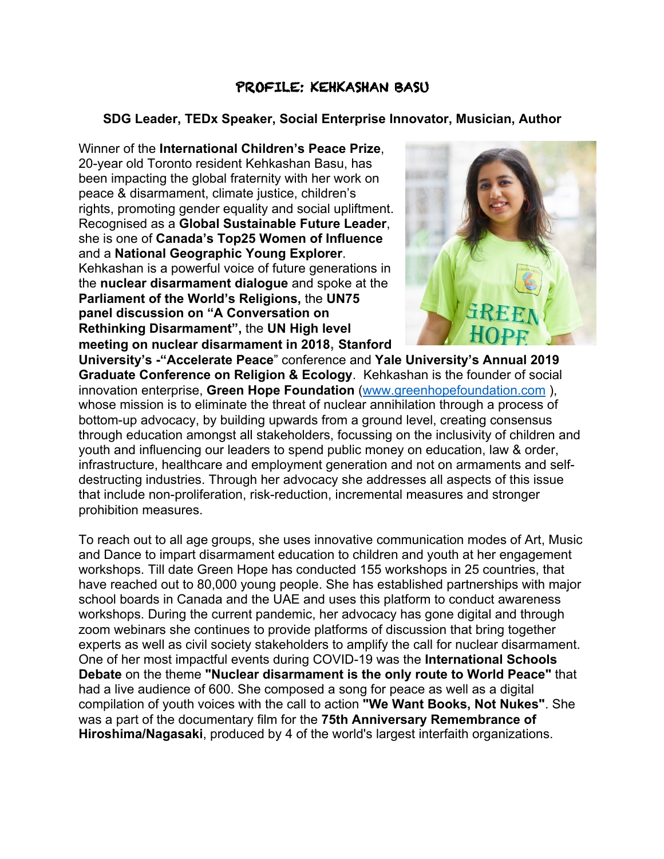## PROFILE: KEHKASHAN BASU

## **SDG Leader, TEDx Speaker, Social Enterprise Innovator, Musician, Author**

Winner of the **International Children's Peace Prize**, 20-year old Toronto resident Kehkashan Basu, has been impacting the global fraternity with her work on peace & disarmament, climate justice, children's rights, promoting gender equality and social upliftment. Recognised as a **Global Sustainable Future Leader**, she is one of **Canada's Top25 Women of Influence** and a **National Geographic Young Explorer**. Kehkashan is a powerful voice of future generations in the **nuclear disarmament dialogue** and spoke at the **Parliament of the World's Religions,** the **UN75 panel discussion on "A Conversation on Rethinking Disarmament",** the **UN High level meeting on nuclear disarmament in 2018, Stanford** 



**University's -"Accelerate Peace**" conference and **Yale University's Annual 2019 Graduate Conference on Religion & Ecology**. Kehkashan is the founder of social innovation enterprise, **Green Hope Foundation** (www.greenhopefoundation.com ), whose mission is to eliminate the threat of nuclear annihilation through a process of bottom-up advocacy, by building upwards from a ground level, creating consensus through education amongst all stakeholders, focussing on the inclusivity of children and youth and influencing our leaders to spend public money on education, law & order, infrastructure, healthcare and employment generation and not on armaments and selfdestructing industries. Through her advocacy she addresses all aspects of this issue that include non-proliferation, risk-reduction, incremental measures and stronger prohibition measures.

To reach out to all age groups, she uses innovative communication modes of Art, Music and Dance to impart disarmament education to children and youth at her engagement workshops. Till date Green Hope has conducted 155 workshops in 25 countries, that have reached out to 80,000 young people. She has established partnerships with major school boards in Canada and the UAE and uses this platform to conduct awareness workshops. During the current pandemic, her advocacy has gone digital and through zoom webinars she continues to provide platforms of discussion that bring together experts as well as civil society stakeholders to amplify the call for nuclear disarmament. One of her most impactful events during COVID-19 was the **International Schools Debate** on the theme **"Nuclear disarmament is the only route to World Peace"** that had a live audience of 600. She composed a song for peace as well as a digital compilation of youth voices with the call to action **"We Want Books, Not Nukes"**. She was a part of the documentary film for the **75th Anniversary Remembrance of Hiroshima/Nagasaki**, produced by 4 of the world's largest interfaith organizations.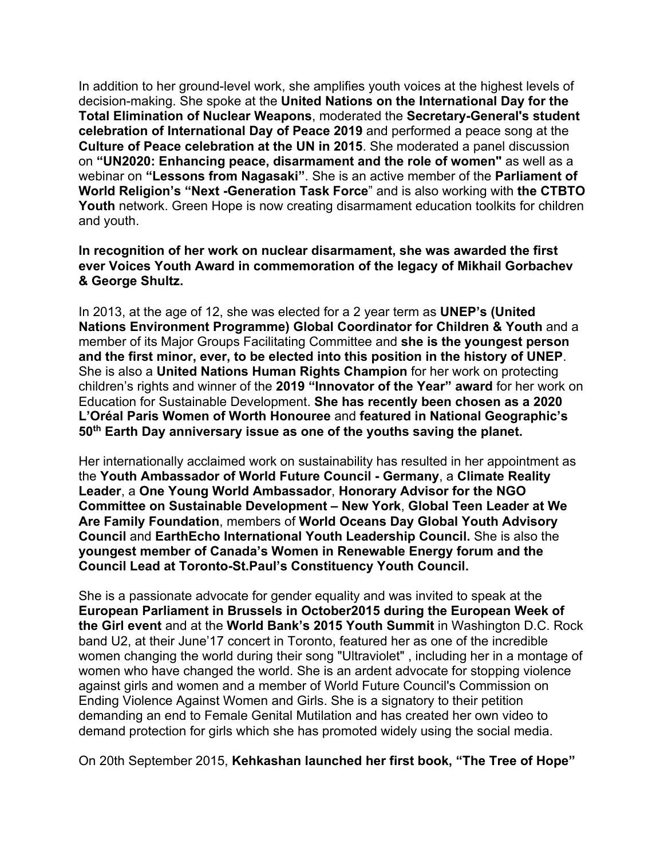In addition to her ground-level work, she amplifies youth voices at the highest levels of decision-making. She spoke at the **United Nations on the International Day for the Total Elimination of Nuclear Weapons**, moderated the **Secretary-General's student celebration of International Day of Peace 2019** and performed a peace song at the **Culture of Peace celebration at the UN in 2015**. She moderated a panel discussion on **"UN2020: Enhancing peace, disarmament and the role of women"** as well as a webinar on **"Lessons from Nagasaki"**. She is an active member of the **Parliament of World Religion's "Next -Generation Task Force**" and is also working with **the CTBTO Youth** network. Green Hope is now creating disarmament education toolkits for children and youth.

**In recognition of her work on nuclear disarmament, she was awarded the first ever Voices Youth Award in commemoration of the legacy of Mikhail Gorbachev & George Shultz.** 

In 2013, at the age of 12, she was elected for a 2 year term as **UNEP's (United Nations Environment Programme) Global Coordinator for Children & Youth** and a member of its Major Groups Facilitating Committee and **she is the youngest person and the first minor, ever, to be elected into this position in the history of UNEP**. She is also a **United Nations Human Rights Champion** for her work on protecting children's rights and winner of the **2019 "Innovator of the Year" award** for her work on Education for Sustainable Development. **She has recently been chosen as a 2020 L'Oréal Paris Women of Worth Honouree** and **featured in National Geographic's 50th Earth Day anniversary issue as one of the youths saving the planet.**

Her internationally acclaimed work on sustainability has resulted in her appointment as the **Youth Ambassador of World Future Council - Germany**, a **Climate Reality Leader**, a **One Young World Ambassador**, **Honorary Advisor for the NGO Committee on Sustainable Development – New York**, **Global Teen Leader at We Are Family Foundation**, members of **World Oceans Day Global Youth Advisory Council** and **EarthEcho International Youth Leadership Council.** She is also the **youngest member of Canada's Women in Renewable Energy forum and the Council Lead at Toronto-St.Paul's Constituency Youth Council.**

She is a passionate advocate for gender equality and was invited to speak at the **European Parliament in Brussels in October2015 during the European Week of the Girl event** and at the **World Bank's 2015 Youth Summit** in Washington D.C. Rock band U2, at their June'17 concert in Toronto, featured her as one of the incredible women changing the world during their song "Ultraviolet" , including her in a montage of women who have changed the world. She is an ardent advocate for stopping violence against girls and women and a member of World Future Council's Commission on Ending Violence Against Women and Girls. She is a signatory to their petition demanding an end to Female Genital Mutilation and has created her own video to demand protection for girls which she has promoted widely using the social media.

On 20th September 2015, **Kehkashan launched her first book, "The Tree of Hope"**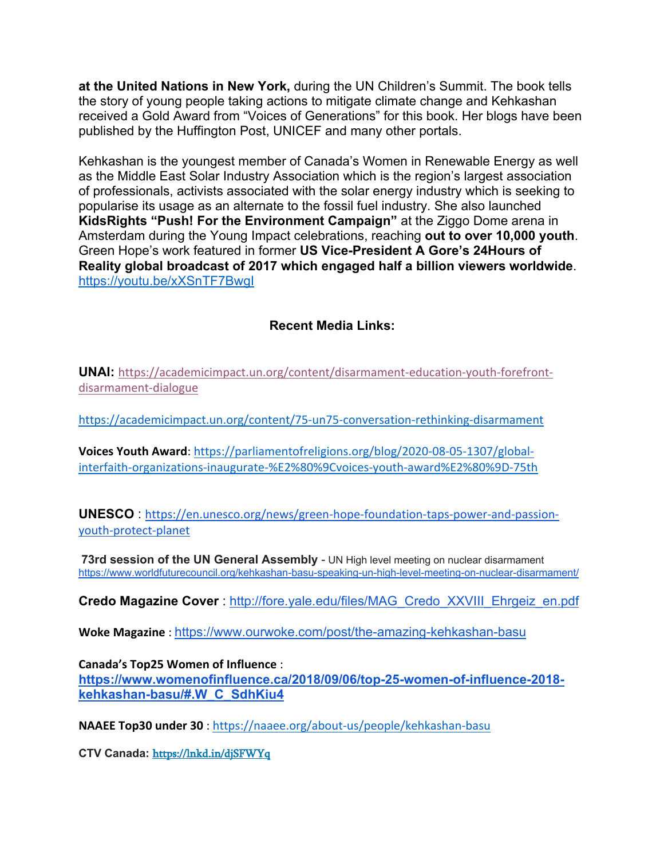**at the United Nations in New York,** during the UN Children's Summit. The book tells the story of young people taking actions to mitigate climate change and Kehkashan received a Gold Award from "Voices of Generations" for this book. Her blogs have been published by the Huffington Post, UNICEF and many other portals.

Kehkashan is the youngest member of Canada's Women in Renewable Energy as well as the Middle East Solar Industry Association which is the region's largest association of professionals, activists associated with the solar energy industry which is seeking to popularise its usage as an alternate to the fossil fuel industry. She also launched **KidsRights "Push! For the Environment Campaign"** at the Ziggo Dome arena in Amsterdam during the Young Impact celebrations, reaching **out to over 10,000 youth**. Green Hope's work featured in former **US Vice-President A Gore's 24Hours of Reality global broadcast of 2017 which engaged half a billion viewers worldwide**. https://youtu.be/xXSnTF7BwgI

## **Recent Media Links:**

**UNAI:** https://academicimpact.un.org/content/disarmament-education-youth-forefrontdisarmament-dialogue

https://academicimpact.un.org/content/75-un75-conversation-rethinking-disarmament

**Voices Youth Award**: https://parliamentofreligions.org/blog/2020-08-05-1307/globalinterfaith-organizations-inaugurate-%E2%80%9Cvoices-youth-award%E2%80%9D-75th

**UNESCO** : https://en.unesco.org/news/green-hope-foundation-taps-power-and-passionyouth-protect-planet

**73rd session of the UN General Assembly** - UN High level meeting on nuclear disarmament https://www.worldfuturecouncil.org/kehkashan-basu-speaking-un-high-level-meeting-on-nuclear-disarmament/

**Credo Magazine Cover** : http://fore.yale.edu/files/MAG\_Credo\_XXVIII\_Ehrgeiz\_en.pdf

**Woke Magazine** : https://www.ourwoke.com/post/the-amazing-kehkashan-basu

**Canada's Top25 Women of Influence** :

**https://www.womenofinfluence.ca/2018/09/06/top-25-women-of-influence-2018 kehkashan-basu/#.W\_C\_SdhKiu4**

**NAAEE Top30 under 30** : https://naaee.org/about-us/people/kehkashan-basu

**CTV Canada:** https://lnkd.in/djSFWYq